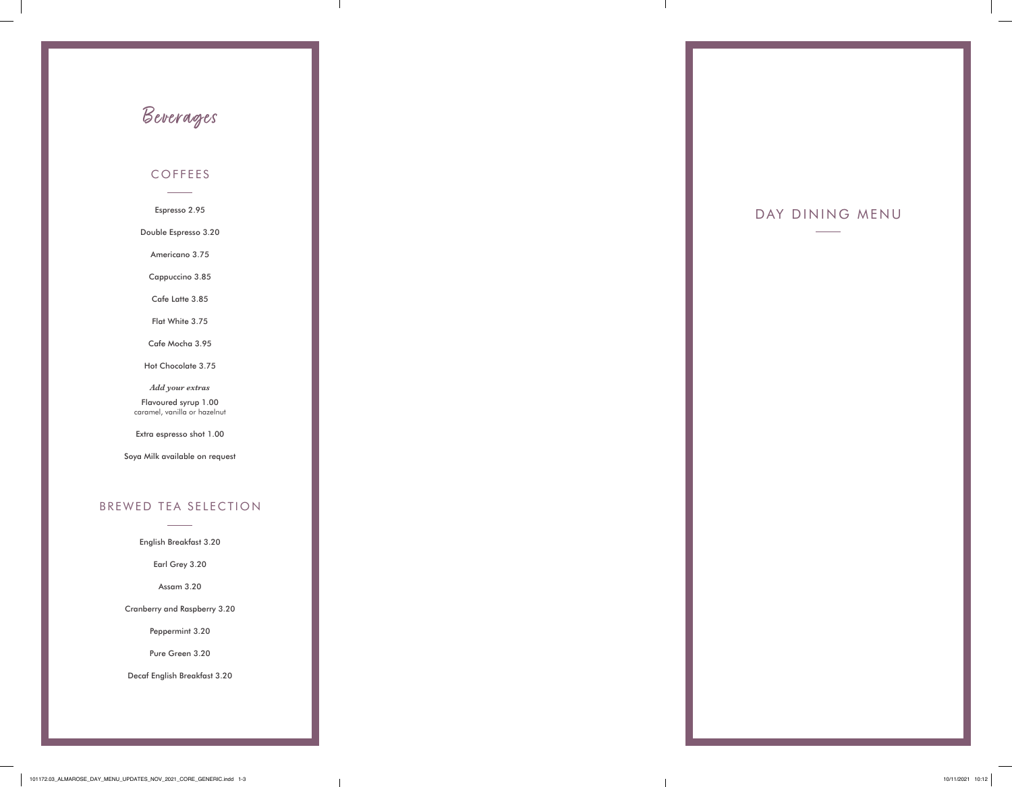### COFFEES

Espresso 2.95

Double Espresso 3.20

Americano 3.75

Cappuccino 3.85

Cafe Latte 3.85

Flat White 3.75

Cafe Mocha 3.95

Hot Chocolate 3.75

*Add your extras* 

Flavoured syrup 1.00 caramel, vanilla or hazelnut

Extra espresso shot 1.00

Soya Milk available on request

### BREWED TEA SELECTION

English Breakfast 3.20

Earl Grey 3.20

Assam 3.20

Cranberry and Raspberry 3.20

Peppermint 3.20

Pure Green 3.20

Decaf English Breakfast 3.20

# Beverages

## DAY DINING MENU